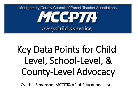

# Key Data Points for Child-Level, School-Level, & County-Level Advocacy

Cynthia Simonson, MCCPTA VP of Educational Issues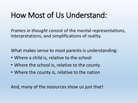#### How Most of Us Understand:

*Frames in thought* consist of the mental representations, interpretations, and simplifications of reality.

What makes sense to most parents is understanding:

- Where a child is, relative to the school
- Where the school is, relative to the county
- Where the county is, relative to the nation

And, many of the resources show us just that!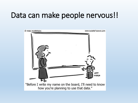#### Data can make people nervous!!

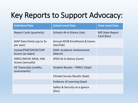## Key Reports to Support Advocacy:

| <b>Individual Data</b>                      | <b>School-Level Data</b>                     | <b>State Level Data</b>              |
|---------------------------------------------|----------------------------------------------|--------------------------------------|
| <b>Report Cards (quarterly)</b>             | Schools-At-A-Glance (Jan)                    | <b>MD State Report</b><br>Card (Dec) |
| MAP Data Points (up to 3x<br>per year)      | Annual AP/IB Enrollment & Exams<br>(Jan/Feb) |                                      |
| Inview/PSAT/SAT/ACT/AP<br>Scores (as taken) | <b>EAM: Academic Achievement</b><br>(March)  |                                      |
| PARCC/MCAP, MISA, HSA<br>Scores (annually)  | SPED-At-A-Glance (June)                      |                                      |
| HS Transcripts (credits,<br>assessments)    | <b>Student Results - PARCC (Sept)</b>        |                                      |
|                                             | Climate Survey Results (Sept)                |                                      |
|                                             | Evidence of Learning (Sept)                  |                                      |
|                                             | Safety & Security-at-a-glance<br>(Dec)       |                                      |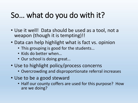## So… what do you do with it?

- Use it well! Data should be used as a tool, not a weapon (though it is tempting)!!
- Data can help highlight what is fact vs. opinion
	- This grouping is good for the students…
	- Kids do better when…
	- Our school is doing great…
- Use to highlight policy/process concerns
	- Overcrowding and disproportionate referral increases
- Use to be a good steward
	- Half our county coffers are used for this purpose? How are we doing?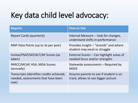## Key data child level advocacy:

| <b>Reports</b>                                                                          | <b>How to Use</b>                                                              |
|-----------------------------------------------------------------------------------------|--------------------------------------------------------------------------------|
| <b>Report Cards (quarterly)</b>                                                         | Internal Measure -- look for changes,<br>understand shifts in performance      |
| MAP Data Points (up to 3x per year)                                                     | Provides insight – "strands" and where<br>student may excel or struggle        |
| Inview/PSAT/SAT/ACT/AP Scores (as<br>taken)                                             | External Scores – Can highlight areas of<br>needed focus and/or strengths      |
| PARCC/MCAP, HSA, MISA Scores<br>(annually)                                              | Statewide assessments – Required by<br><b>MSDE</b>                             |
| Transcripts (identifies credits achieved,<br>needed, assessments that have been<br>met) | Assures parents to see if student is on<br>track; allows to see bigger picture |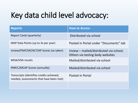## Key data child level advocacy:

| <b>Reports</b>                                                                       | <b>How to Access</b>                                                        |
|--------------------------------------------------------------------------------------|-----------------------------------------------------------------------------|
| <b>Report Cards (quarterly)</b>                                                      | Distributed via school                                                      |
| MAP Data Points (up to 3x per year)                                                  | Posted in Portal under "Documents" tab                                      |
| Inview/PSAT/SAT/ACT/AP Scores (as taken)                                             | Inview – mailed/distributed via school;<br>Others via testing body websites |
| MISA/HSA results                                                                     | Mailed/distributed via school                                               |
| PARCC/MCAP Scores (annually)                                                         | Mailed/distributed via school                                               |
| Transcripts (identifies credits achieved,<br>needed, assessments that have been met) | Posted in Portal                                                            |
|                                                                                      |                                                                             |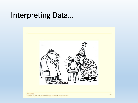#### Interpreting Data...

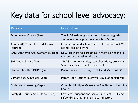## Key data for school level advocacy:

| <b>Reports</b>                               | <b>How to Use</b>                                                                                   |
|----------------------------------------------|-----------------------------------------------------------------------------------------------------|
| Schools-At-A-Glance (Jan)                    | The SAAG – demographics, enrollment by grade,<br>staff allocations, programs, facilities, & more!   |
| Annual AP/IB Enrollment & Exams<br>(Jan/Feb) | County level and school level performance on AP/IB<br>exams (broken down)                           |
| <b>EAM: Academic Achievement (March)</b>     | NEW! How schools are doing in meeting needs of all<br>students $-$ unmasking the data               |
| SPED-At-A-Glance (June)                      | SPAAG -- demographics, staff allocations, programs,<br>% of Least Restrictive Environments          |
| Student Results - PARCC (Sept)               | Performance, by school, on ELA and Math PARCC                                                       |
| Climate Survey Results (Sept)                | Parent, Staff, Student Surveys (MCPS administered)                                                  |
| <b>Evidence of Learning (Sept)</b>           | Compiles Multiple Measures - Are Students Learning<br>Enough?                                       |
| Safety & Security-At-A-Glance (Dec)          | Key Data – suspensions, serious incidents, bullying,<br>safety drills, programs, climate indicators |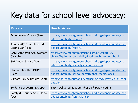## Key data for school level advocacy:

| <b>Reports</b>                               | <b>How to Access</b>                                                                                     |
|----------------------------------------------|----------------------------------------------------------------------------------------------------------|
| Schools-At-A-Glance (Jan)                    | https://www.montgomeryschoolsmd.org/departments/shar<br>edaccountability/glance/                         |
| Annual AP/IB Enrollment &<br>Exams (Jan/Feb) | https://www.montgomeryschoolsmd.org/departments/shar<br>edaccountability/reports/                        |
| <b>EAM: Academic Achievement</b><br>(March)  | https://www.montgomeryschoolsmd.org/data/LAR-<br>charts/Equity-Accountability-Model-Achievement.html     |
| SPED-At-A-Glance (June)                      | https://www.montgomeryschoolsmd.org/departments/shar<br>edaccountability/specialglance/index.aspx        |
| <b>Student Results - PARCC</b><br>(Sept)     | https://www.montgomeryschoolsmd.org/departments/shar<br>edaccountability/school-performance-reports.aspx |
| <b>Climate Survey Results (Sept)</b>         | http://sharedaccountability.mcpsmd.org/SurveyResults/cont<br>ent.php                                     |
| Evidence of Learning (Sept)                  | TBD – Delivered at September 23 <sup>rd</sup> BOE Meeting                                                |
| Safety & Security-At-A-Glance<br>(Dec)       | https://www.montgomeryschoolsmd.org/departments/shar<br>edaccountability/safetyglance/                   |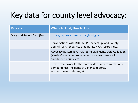## Key data for county level advocacy:

| <b>Reports</b>             | <b>Where to Find, How to Use</b>                                                                                                               |
|----------------------------|------------------------------------------------------------------------------------------------------------------------------------------------|
| Maryland Report Card (Dec) | https://reportcard.msde.maryland.gov                                                                                                           |
|                            | Conversations with BOE, MCPS leadership, and County<br>Council re: Attendance, Grad Rates, MCAP scores, etc.                                   |
|                            | Advocacy at state level related to Civil Rights Data Collection<br>(Kirwin Commission recommendations) – preschool<br>enrollment, equity, etc. |
|                            | Create framework for the state-wide equity conversations -<br>demographics, incidents of violence reports,<br>suspensions/expulsions, etc.     |
|                            |                                                                                                                                                |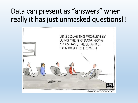#### Data can present as "answers" when really it has just unmasked questions!!

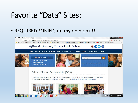#### Favorite "Data" Sites:

#### • REQUIRED MINING (in my opinion)!!!

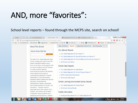#### AND, more "favorites":

#### School level reports – found through the MCPS site, search on school!

| <b>G</b> Google |                                                                                     | X ( M) The Official Newsletter o X / ↓ School Overview - Montc X   V 0LO Report 2015-13 Bel X   V 0LOReport2015-15Reso X                                             | $\mathbb{Q}$ (of $\mathbb{Z}$ ) $\Box$ $\Box$                                                                     |
|-----------------|-------------------------------------------------------------------------------------|----------------------------------------------------------------------------------------------------------------------------------------------------------------------|-------------------------------------------------------------------------------------------------------------------|
| С               | (i) www.montgomeryschoolsmd.org/schoolodex/schooloverview.aspx?s=04510              |                                                                                                                                                                      | ☆                                                                                                                 |
| <b>Hi</b> Apps  |                                                                                     | Free Shipping Over Sockmarks by Suggested Sites Repropried From IE P New Tab Www.orbitz.com - Trip Recipes 2 MTI Broadway Junior D Musicals P Image result for chine |                                                                                                                   |
|                 | <b>About This School</b>                                                            | Map + Directions<br><b>Independent Activity Fund</b><br><b>Most Requested</b><br><b>Reports</b>                                                                      |                                                                                                                   |
|                 | <b>Search School Web Site</b>                                                       | At a Glance Reports                                                                                                                                                  |                                                                                                                   |
|                 | <b>Search</b>                                                                       | • Col. Zadok Magruder HS at a Glance                                                                                                                                 |                                                                                                                   |
|                 |                                                                                     | • Col. Zadok Magruder HS Special Education at a Glance                                                                                                               |                                                                                                                   |
|                 | The staff of Col. Zadok Magruder High                                               | • Col. Zadok Magruder HS School Safety and Security at a Glance                                                                                                      |                                                                                                                   |
|                 | School, a large public high school with<br>deeply embedded traditions and a         | • All Schools at a Glance                                                                                                                                            |                                                                                                                   |
|                 | focus on the future, works together with<br>our diverse students and their families | <b>School Data Reports</b>                                                                                                                                           |                                                                                                                   |
|                 | to create a positive learning                                                       | • Col. Zadok Magruder HS Data Report                                                                                                                                 |                                                                                                                   |
|                 | environment accessible to all students.                                             | • Col. Zadok Magruder HS School Progress Report                                                                                                                      |                                                                                                                   |
|                 | where integrity and a sense of<br>community are paramount. Through                  | • MCPS Systemwide Data Report                                                                                                                                        |                                                                                                                   |
|                 | meaningful co-curricular activities,                                                | • All Schools Data Report                                                                                                                                            |                                                                                                                   |
|                 | equitable support systems and rigorous                                              |                                                                                                                                                                      |                                                                                                                   |
|                 | instruction, we promote the                                                         | <b>School Learning Environment Survey Results</b>                                                                                                                    |                                                                                                                   |
|                 | development of literate, responsible,<br>well-rounded members of society. This      | • Col. Zadok Magruder HS Survey Result                                                                                                                               |                                                                                                                   |
|                 | we believe: * Teachers must be<br>passionate about their vocation, their            | • All Schools Survey Results                                                                                                                                         |                                                                                                                   |
|                 | subjects, and working with students. *<br>Cooperation among students and a          | <b>Facility Information</b>                                                                                                                                          |                                                                                                                   |
|                 | partnership among teachers, students                                                | • Facility and Boundaries for Col. Zadok Magruder HS                                                                                                                 |                                                                                                                   |
|                 | <b>OZ DP</b> VE<br>$\blacksquare$                                                   | 地                                                                                                                                                                    | 9:39 PM<br>$\mathbf{B} = \mathbf{C} \times \mathbf{C} \mathbf{B}$ and $\mathbf{A} = \mathbf{A} \times \mathbf{A}$ |